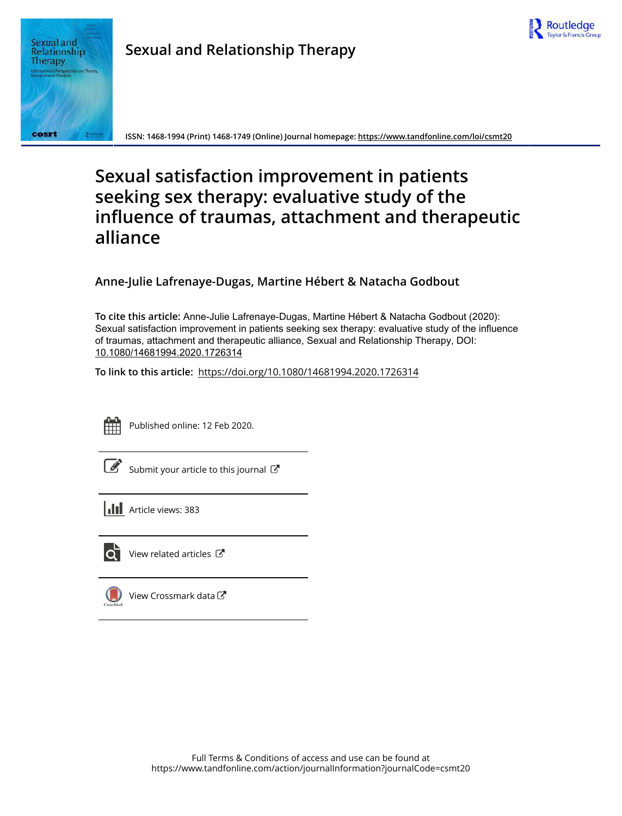

| Sexual and<br>Relationship<br><b>Therapy</b><br>International Perspectives on Theory,<br><b>Researchand Practice</b> |  |
|----------------------------------------------------------------------------------------------------------------------|--|
| osr                                                                                                                  |  |

**Sexual and Relationship Therapy**

**ISSN: 1468-1994 (Print) 1468-1749 (Online) Journal homepage:<https://www.tandfonline.com/loi/csmt20>**

# **Sexual satisfaction improvement in patients seeking sex therapy: evaluative study of the influence of traumas, attachment and therapeutic alliance**

## **Anne-Julie Lafrenaye-Dugas, Martine Hébert & Natacha Godbout**

**To cite this article:** Anne-Julie Lafrenaye-Dugas, Martine Hébert & Natacha Godbout (2020): Sexual satisfaction improvement in patients seeking sex therapy: evaluative study of the influence of traumas, attachment and therapeutic alliance, Sexual and Relationship Therapy, DOI: [10.1080/14681994.2020.1726314](https://www.tandfonline.com/action/showCitFormats?doi=10.1080/14681994.2020.1726314)

**To link to this article:** <https://doi.org/10.1080/14681994.2020.1726314>



Published online: 12 Feb 2020.

[Submit your article to this journal](https://www.tandfonline.com/action/authorSubmission?journalCode=csmt20&show=instructions)  $\mathbb{Z}$ 

| <b>III</b> Article views: 383 |
|-------------------------------|
|                               |

 $\overrightarrow{Q}$  [View related articles](https://www.tandfonline.com/doi/mlt/10.1080/14681994.2020.1726314)  $\overrightarrow{C}$ 

[View Crossmark data](http://crossmark.crossref.org/dialog/?doi=10.1080/14681994.2020.1726314&domain=pdf&date_stamp=2020-02-12)<sup>[2]</sup>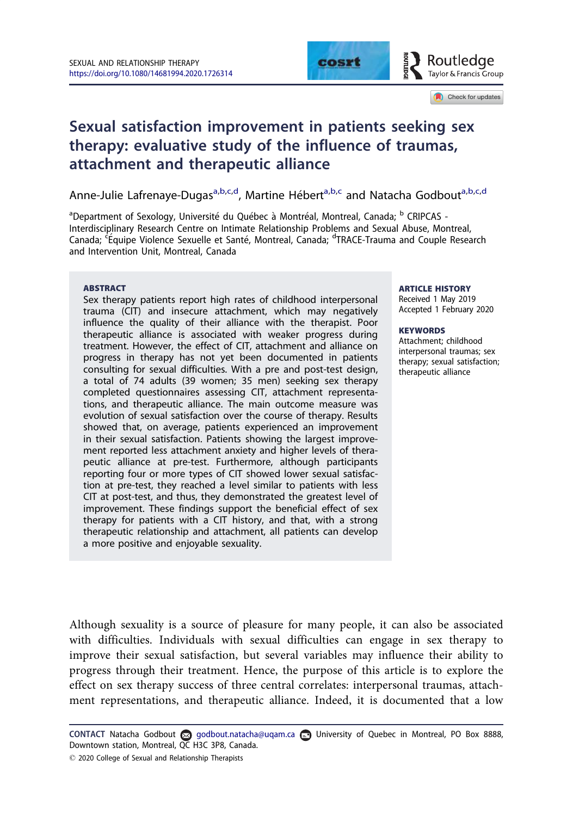

## Sexual satisfaction improvement in patients seeking sex therapy: evaluative study of the influence of traumas, attachment and therapeutic alliance

Anne-Julie Lafrenaye-Dugas<sup>a,b,c,d</sup>, Martine Hébert<sup>a,b,c</sup> and Natacha Godbout<sup>a,b,c,d</sup>

<sup>a</sup>Department of Sexology, Université du Québec à Montréal, Montreal, Canada; <sup>b</sup> CRIPCAS -Interdisciplinary Research Centre on Intimate Relationship Problems and Sexual Abuse, Montreal, Canada; <sup>c</sup>Équipe Violence Sexuelle et Santé, Montreal, Canada; <sup>d</sup>TRACE-Trauma and Couple Research and Intervention Unit, Montreal, Canada

#### **ABSTRACT**

Sex therapy patients report high rates of childhood interpersonal trauma (CIT) and insecure attachment, which may negatively influence the quality of their alliance with the therapist. Poor therapeutic alliance is associated with weaker progress during treatment. However, the effect of CIT, attachment and alliance on progress in therapy has not yet been documented in patients consulting for sexual difficulties. With a pre and post-test design, a total of 74 adults (39 women; 35 men) seeking sex therapy completed questionnaires assessing CIT, attachment representations, and therapeutic alliance. The main outcome measure was evolution of sexual satisfaction over the course of therapy. Results showed that, on average, patients experienced an improvement in their sexual satisfaction. Patients showing the largest improvement reported less attachment anxiety and higher levels of therapeutic alliance at pre-test. Furthermore, although participants reporting four or more types of CIT showed lower sexual satisfaction at pre-test, they reached a level similar to patients with less CIT at post-test, and thus, they demonstrated the greatest level of improvement. These findings support the beneficial effect of sex therapy for patients with a CIT history, and that, with a strong therapeutic relationship and attachment, all patients can develop a more positive and enjoyable sexuality.

#### ARTICLE HISTORY

Received 1 May 2019 Accepted 1 February 2020

#### **KEYWORDS**

Attachment; childhood interpersonal traumas; sex therapy; sexual satisfaction; therapeutic alliance

Although sexuality is a source of pleasure for many people, it can also be associated with difficulties. Individuals with sexual difficulties can engage in sex therapy to improve their sexual satisfaction, but several variables may influence their ability to progress through their treatment. Hence, the purpose of this article is to explore the effect on sex therapy success of three central correlates: interpersonal traumas, attachment representations, and therapeutic alliance. Indeed, it is documented that a low

CONTACT Natacha Godbout a godbout.natacha@uqam.ca i University of Quebec in Montreal, PO Box 8888, Downtown station, Montreal, QC H3C 3P8, Canada.

2020 College of Sexual and Relationship Therapists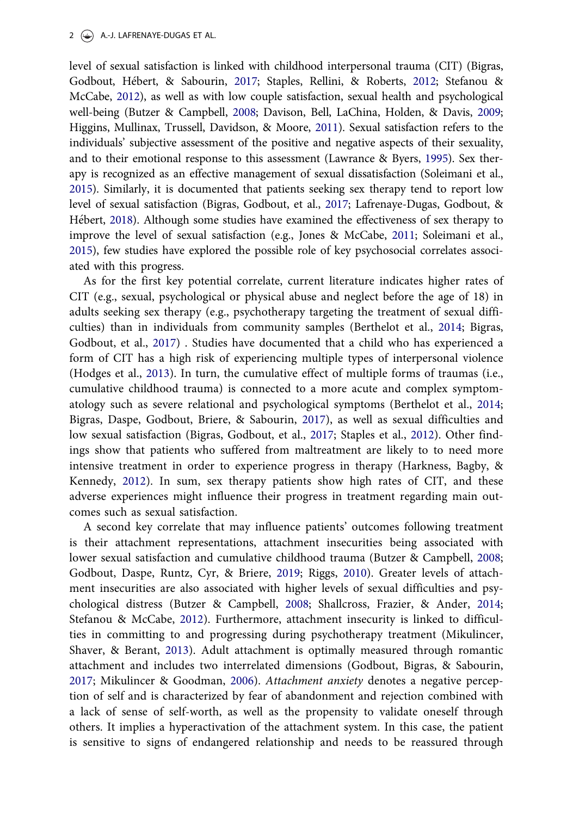#### <span id="page-2-0"></span>2 **(e)** A.-J. LAFRENAYE-DUGAS ET AL.

level of sexual satisfaction is linked with childhood interpersonal trauma (CIT) (Bigras, Godbout, Hebert, & Sabourin, [2017](#page-16-0); Staples, Rellini, & Roberts, [2012](#page-18-0); Stefanou & McCabe, [2012](#page-18-0)), as well as with low couple satisfaction, sexual health and psychological well-being (Butzer & Campbell, [2008](#page-16-0); Davison, Bell, LaChina, Holden, & Davis, [2009](#page-16-0); Higgins, Mullinax, Trussell, Davidson, & Moore, [2011](#page-17-0)). Sexual satisfaction refers to the individuals' subjective assessment of the positive and negative aspects of their sexuality, and to their emotional response to this assessment (Lawrance & Byers, [1995\)](#page-17-0). Sex therapy is recognized as an effective management of sexual dissatisfaction (Soleimani et al., [2015\)](#page-18-0). Similarly, it is documented that patients seeking sex therapy tend to report low level of sexual satisfaction (Bigras, Godbout, et al., [2017;](#page-16-0) Lafrenaye-Dugas, Godbout, & Hebert, [2018](#page-17-0)). Although some studies have examined the effectiveness of sex therapy to improve the level of sexual satisfaction (e.g., Jones & McCabe, [2011](#page-17-0); Soleimani et al., [2015\)](#page-18-0), few studies have explored the possible role of key psychosocial correlates associated with this progress.

As for the first key potential correlate, current literature indicates higher rates of CIT (e.g., sexual, psychological or physical abuse and neglect before the age of 18) in adults seeking sex therapy (e.g., psychotherapy targeting the treatment of sexual difficulties) than in individuals from community samples (Berthelot et al., [2014;](#page-15-0) Bigras, Godbout, et al., [2017\)](#page-16-0) . Studies have documented that a child who has experienced a form of CIT has a high risk of experiencing multiple types of interpersonal violence (Hodges et al., [2013](#page-17-0)). In turn, the cumulative effect of multiple forms of traumas (i.e., cumulative childhood trauma) is connected to a more acute and complex symptomatology such as severe relational and psychological symptoms (Berthelot et al., [2014](#page-15-0); Bigras, Daspe, Godbout, Briere, & Sabourin, [2017](#page-15-0)), as well as sexual difficulties and low sexual satisfaction (Bigras, Godbout, et al., [2017](#page-16-0); Staples et al., [2012\)](#page-18-0). Other findings show that patients who suffered from maltreatment are likely to to need more intensive treatment in order to experience progress in therapy (Harkness, Bagby, & Kennedy, [2012\)](#page-17-0). In sum, sex therapy patients show high rates of CIT, and these adverse experiences might influence their progress in treatment regarding main outcomes such as sexual satisfaction.

A second key correlate that may influence patients' outcomes following treatment is their attachment representations, attachment insecurities being associated with lower sexual satisfaction and cumulative childhood trauma (Butzer & Campbell, [2008](#page-16-0); Godbout, Daspe, Runtz, Cyr, & Briere, [2019](#page-17-0); Riggs, [2010\)](#page-18-0). Greater levels of attachment insecurities are also associated with higher levels of sexual difficulties and psychological distress (Butzer & Campbell, [2008;](#page-16-0) Shallcross, Frazier, & Ander, [2014](#page-18-0); Stefanou & McCabe, [2012](#page-18-0)). Furthermore, attachment insecurity is linked to difficulties in committing to and progressing during psychotherapy treatment (Mikulincer, Shaver, & Berant, [2013\)](#page-18-0). Adult attachment is optimally measured through romantic attachment and includes two interrelated dimensions (Godbout, Bigras, & Sabourin, [2017;](#page-17-0) Mikulincer & Goodman, [2006\)](#page-18-0). Attachment anxiety denotes a negative perception of self and is characterized by fear of abandonment and rejection combined with a lack of sense of self-worth, as well as the propensity to validate oneself through others. It implies a hyperactivation of the attachment system. In this case, the patient is sensitive to signs of endangered relationship and needs to be reassured through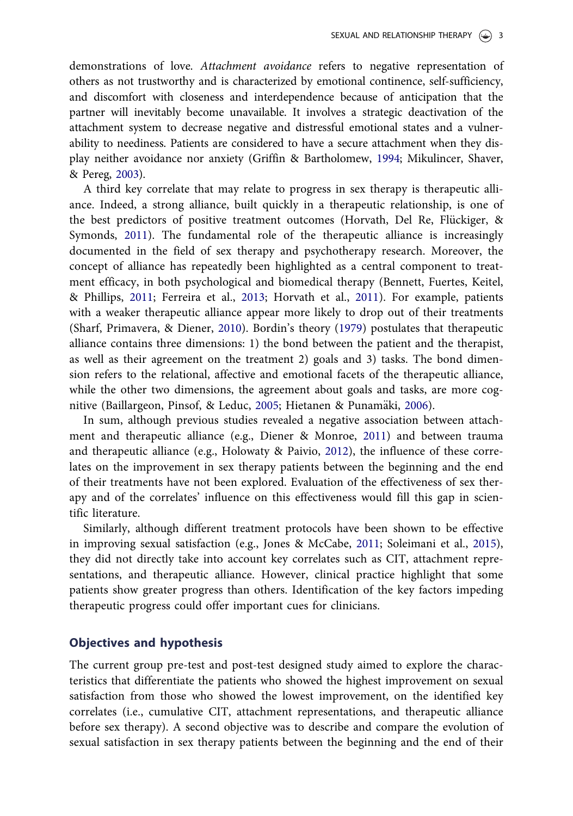<span id="page-3-0"></span>demonstrations of love. Attachment avoidance refers to negative representation of others as not trustworthy and is characterized by emotional continence, self-sufficiency, and discomfort with closeness and interdependence because of anticipation that the partner will inevitably become unavailable. It involves a strategic deactivation of the attachment system to decrease negative and distressful emotional states and a vulnerability to neediness. Patients are considered to have a secure attachment when they display neither avoidance nor anxiety (Griffin & Bartholomew, [1994](#page-17-0); Mikulincer, Shaver, & Pereg, [2003](#page-18-0)).

A third key correlate that may relate to progress in sex therapy is therapeutic alliance. Indeed, a strong alliance, built quickly in a therapeutic relationship, is one of the best predictors of positive treatment outcomes (Horvath, Del Re, Flückiger, & Symonds, [2011](#page-17-0)). The fundamental role of the therapeutic alliance is increasingly documented in the field of sex therapy and psychotherapy research. Moreover, the concept of alliance has repeatedly been highlighted as a central component to treatment efficacy, in both psychological and biomedical therapy (Bennett, Fuertes, Keitel, & Phillips, [2011;](#page-15-0) Ferreira et al., [2013](#page-16-0); Horvath et al., [2011](#page-17-0)). For example, patients with a weaker therapeutic alliance appear more likely to drop out of their treatments (Sharf, Primavera, & Diener, [2010](#page-18-0)). Bordin's theory ([1979](#page-16-0)) postulates that therapeutic alliance contains three dimensions: 1) the bond between the patient and the therapist, as well as their agreement on the treatment 2) goals and 3) tasks. The bond dimension refers to the relational, affective and emotional facets of the therapeutic alliance, while the other two dimensions, the agreement about goals and tasks, are more cog-nitive (Baillargeon, Pinsof, & Leduc, [2005](#page-15-0); Hietanen & Punamäki, [2006\)](#page-17-0).

In sum, although previous studies revealed a negative association between attachment and therapeutic alliance (e.g., Diener & Monroe, [2011\)](#page-16-0) and between trauma and therapeutic alliance (e.g., Holowaty & Paivio, [2012](#page-17-0)), the influence of these correlates on the improvement in sex therapy patients between the beginning and the end of their treatments have not been explored. Evaluation of the effectiveness of sex therapy and of the correlates' influence on this effectiveness would fill this gap in scientific literature.

Similarly, although different treatment protocols have been shown to be effective in improving sexual satisfaction (e.g., Jones & McCabe, [2011](#page-17-0); Soleimani et al., [2015](#page-18-0)), they did not directly take into account key correlates such as CIT, attachment representations, and therapeutic alliance. However, clinical practice highlight that some patients show greater progress than others. Identification of the key factors impeding therapeutic progress could offer important cues for clinicians.

#### Objectives and hypothesis

The current group pre-test and post-test designed study aimed to explore the characteristics that differentiate the patients who showed the highest improvement on sexual satisfaction from those who showed the lowest improvement, on the identified key correlates (i.e., cumulative CIT, attachment representations, and therapeutic alliance before sex therapy). A second objective was to describe and compare the evolution of sexual satisfaction in sex therapy patients between the beginning and the end of their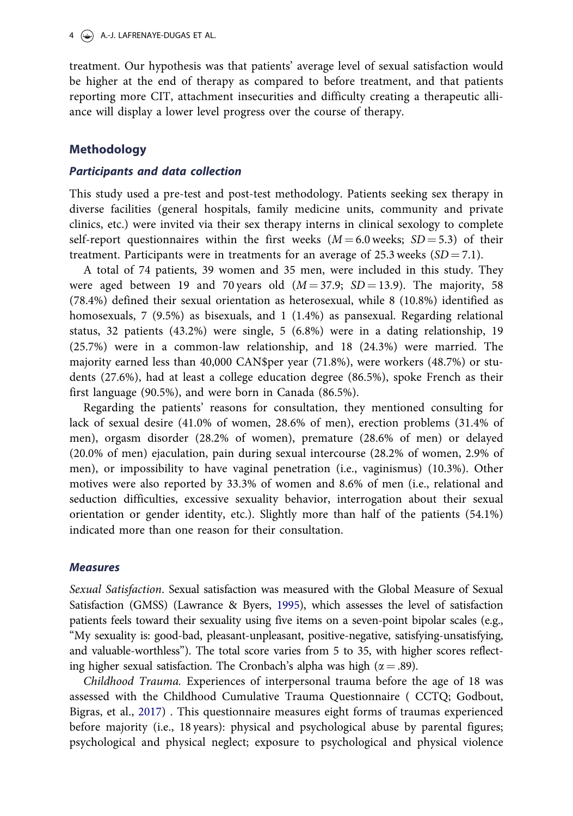4  $\leftarrow$  A.-J. LAFRENAYE-DUGAS ET AL.

treatment. Our hypothesis was that patients' average level of sexual satisfaction would be higher at the end of therapy as compared to before treatment, and that patients reporting more CIT, attachment insecurities and difficulty creating a therapeutic alliance will display a lower level progress over the course of therapy.

### Methodology

#### Participants and data collection

This study used a pre-test and post-test methodology. Patients seeking sex therapy in diverse facilities (general hospitals, family medicine units, community and private clinics, etc.) were invited via their sex therapy interns in clinical sexology to complete self-report questionnaires within the first weeks  $(M = 6.0$  weeks;  $SD = 5.3$ ) of their treatment. Participants were in treatments for an average of 25.3 weeks  $(SD = 7.1)$ .

A total of 74 patients, 39 women and 35 men, were included in this study. They were aged between 19 and 70 years old  $(M = 37.9; SD = 13.9)$ . The majority, 58 (78.4%) defined their sexual orientation as heterosexual, while 8 (10.8%) identified as homosexuals, 7 (9.5%) as bisexuals, and 1 (1.4%) as pansexual. Regarding relational status, 32 patients (43.2%) were single, 5 (6.8%) were in a dating relationship, 19 (25.7%) were in a common-law relationship, and 18 (24.3%) were married. The majority earned less than 40,000 CAN\$per year (71.8%), were workers (48.7%) or students (27.6%), had at least a college education degree (86.5%), spoke French as their first language (90.5%), and were born in Canada (86.5%).

Regarding the patients' reasons for consultation, they mentioned consulting for lack of sexual desire (41.0% of women, 28.6% of men), erection problems (31.4% of men), orgasm disorder (28.2% of women), premature (28.6% of men) or delayed (20.0% of men) ejaculation, pain during sexual intercourse (28.2% of women, 2.9% of men), or impossibility to have vaginal penetration (i.e., vaginismus) (10.3%). Other motives were also reported by 33.3% of women and 8.6% of men (i.e., relational and seduction difficulties, excessive sexuality behavior, interrogation about their sexual orientation or gender identity, etc.). Slightly more than half of the patients (54.1%) indicated more than one reason for their consultation.

#### Measures

Sexual Satisfaction. Sexual satisfaction was measured with the Global Measure of Sexual Satisfaction (GMSS) (Lawrance & Byers, [1995\)](#page-17-0), which assesses the level of satisfaction patients feels toward their sexuality using five items on a seven-point bipolar scales (e.g., "My sexuality is: good-bad, pleasant-unpleasant, positive-negative, satisfying-unsatisfying, and valuable-worthless"). The total score varies from 5 to 35, with higher scores reflecting higher sexual satisfaction. The Cronbach's alpha was high ( $\alpha = .89$ ).

Childhood Trauma. Experiences of interpersonal trauma before the age of 18 was assessed with the Childhood Cumulative Trauma Questionnaire ( CCTQ; Godbout, Bigras, et al., [2017](#page-15-0)) . This questionnaire measures eight forms of traumas experienced before majority (i.e., 18 years): physical and psychological abuse by parental figures; psychological and physical neglect; exposure to psychological and physical violence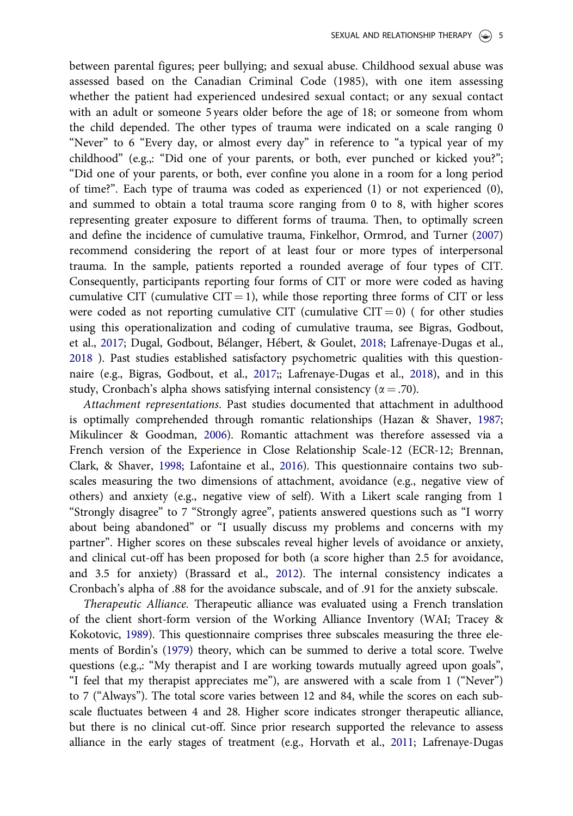<span id="page-5-0"></span>between parental figures; peer bullying; and sexual abuse. Childhood sexual abuse was assessed based on the Canadian Criminal Code (1985), with one item assessing whether the patient had experienced undesired sexual contact; or any sexual contact with an adult or someone 5 years older before the age of 18; or someone from whom the child depended. The other types of trauma were indicated on a scale ranging 0 "Never" to 6 "Every day, or almost every day" in reference to "a typical year of my childhood" (e.g.,: "Did one of your parents, or both, ever punched or kicked you?"; "Did one of your parents, or both, ever confine you alone in a room for a long period of time?". Each type of trauma was coded as experienced (1) or not experienced (0), and summed to obtain a total trauma score ranging from 0 to 8, with higher scores representing greater exposure to different forms of trauma. Then, to optimally screen and define the incidence of cumulative trauma, Finkelhor, Ormrod, and Turner [\(2007\)](#page-16-0) recommend considering the report of at least four or more types of interpersonal trauma. In the sample, patients reported a rounded average of four types of CIT. Consequently, participants reporting four forms of CIT or more were coded as having cumulative CIT (cumulative CIT = 1), while those reporting three forms of CIT or less were coded as not reporting cumulative CIT (cumulative CIT = 0) ( for other studies using this operationalization and coding of cumulative trauma, see Bigras, Godbout, et al., [2017](#page-16-0); Dugal, Godbout, Belanger, Hebert, & Goulet, [2018](#page-16-0); Lafrenaye-Dugas et al., [2018](#page-17-0) ). Past studies established satisfactory psychometric qualities with this questionnaire (e.g., Bigras, Godbout, et al., [2017](#page-16-0);; Lafrenaye-Dugas et al., [2018\)](#page-17-0), and in this study, Cronbach's alpha shows satisfying internal consistency ( $\alpha = .70$ ).

Attachment representations. Past studies documented that attachment in adulthood is optimally comprehended through romantic relationships (Hazan & Shaver, [1987](#page-17-0); Mikulincer & Goodman, [2006](#page-18-0)). Romantic attachment was therefore assessed via a French version of the Experience in Close Relationship Scale-12 (ECR-12; Brennan, Clark, & Shaver, [1998](#page-16-0); Lafontaine et al., [2016\)](#page-17-0). This questionnaire contains two subscales measuring the two dimensions of attachment, avoidance (e.g., negative view of others) and anxiety (e.g., negative view of self). With a Likert scale ranging from 1 "Strongly disagree" to 7 "Strongly agree", patients answered questions such as "I worry about being abandoned" or "I usually discuss my problems and concerns with my partner". Higher scores on these subscales reveal higher levels of avoidance or anxiety, and clinical cut-off has been proposed for both (a score higher than 2.5 for avoidance, and 3.5 for anxiety) (Brassard et al., [2012](#page-16-0)). The internal consistency indicates a Cronbach's alpha of .88 for the avoidance subscale, and of .91 for the anxiety subscale.

Therapeutic Alliance. Therapeutic alliance was evaluated using a French translation of the client short-form version of the Working Alliance Inventory (WAI; Tracey & Kokotovic, [1989\)](#page-18-0). This questionnaire comprises three subscales measuring the three elements of Bordin's [\(1979\)](#page-16-0) theory, which can be summed to derive a total score. Twelve questions (e.g.,: "My therapist and I are working towards mutually agreed upon goals", "I feel that my therapist appreciates me"), are answered with a scale from 1 ("Never") to 7 ("Always"). The total score varies between 12 and 84, while the scores on each subscale fluctuates between 4 and 28. Higher score indicates stronger therapeutic alliance, but there is no clinical cut-off. Since prior research supported the relevance to assess alliance in the early stages of treatment (e.g., Horvath et al., [2011](#page-17-0); Lafrenaye-Dugas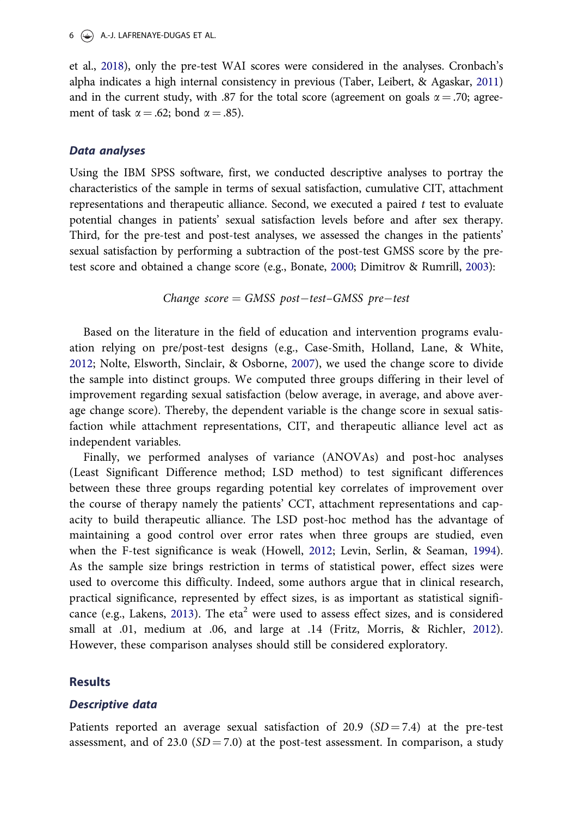<span id="page-6-0"></span>et al., [2018\)](#page-17-0), only the pre-test WAI scores were considered in the analyses. Cronbach's alpha indicates a high internal consistency in previous (Taber, Leibert, & Agaskar, [2011\)](#page-18-0) and in the current study, with .87 for the total score (agreement on goals  $\alpha = .70$ ; agreement of task  $\alpha = .62$ ; bond  $\alpha = .85$ ).

#### Data analyses

Using the IBM SPSS software, first, we conducted descriptive analyses to portray the characteristics of the sample in terms of sexual satisfaction, cumulative CIT, attachment representations and therapeutic alliance. Second, we executed a paired  $t$  test to evaluate potential changes in patients' sexual satisfaction levels before and after sex therapy. Third, for the pre-test and post-test analyses, we assessed the changes in the patients' sexual satisfaction by performing a subtraction of the post-test GMSS score by the pretest score and obtained a change score (e.g., Bonate, [2000](#page-16-0); Dimitrov & Rumrill, [2003\)](#page-16-0):

$$
Change\ score = GMSS\ post-test-GMSS\ pre-test
$$

Based on the literature in the field of education and intervention programs evaluation relying on pre/post-test designs (e.g., Case-Smith, Holland, Lane, & White, [2012;](#page-16-0) Nolte, Elsworth, Sinclair, & Osborne, [2007](#page-18-0)), we used the change score to divide the sample into distinct groups. We computed three groups differing in their level of improvement regarding sexual satisfaction (below average, in average, and above average change score). Thereby, the dependent variable is the change score in sexual satisfaction while attachment representations, CIT, and therapeutic alliance level act as independent variables.

Finally, we performed analyses of variance (ANOVAs) and post-hoc analyses (Least Significant Difference method; LSD method) to test significant differences between these three groups regarding potential key correlates of improvement over the course of therapy namely the patients' CCT, attachment representations and capacity to build therapeutic alliance. The LSD post-hoc method has the advantage of maintaining a good control over error rates when three groups are studied, even when the F-test significance is weak (Howell, [2012](#page-17-0); Levin, Serlin, & Seaman, [1994](#page-18-0)). As the sample size brings restriction in terms of statistical power, effect sizes were used to overcome this difficulty. Indeed, some authors argue that in clinical research, practical significance, represented by effect sizes, is as important as statistical signifi-cance (e.g., Lakens, [2013](#page-17-0)). The eta<sup>2</sup> were used to assess effect sizes, and is considered small at .01, medium at .06, and large at .14 (Fritz, Morris, & Richler, [2012](#page-17-0)). However, these comparison analyses should still be considered exploratory.

#### Results

#### Descriptive data

Patients reported an average sexual satisfaction of 20.9 ( $SD = 7.4$ ) at the pre-test assessment, and of 23.0 ( $SD = 7.0$ ) at the post-test assessment. In comparison, a study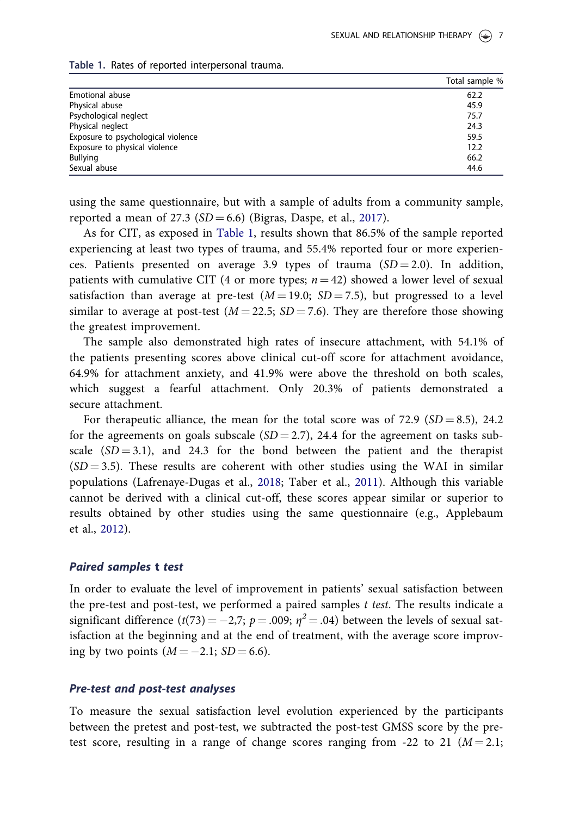|                                    | Total sample % |
|------------------------------------|----------------|
| Emotional abuse                    | 62.2           |
| Physical abuse                     | 45.9           |
| Psychological neglect              | 75.7           |
| Physical neglect                   | 24.3           |
| Exposure to psychological violence | 59.5           |
| Exposure to physical violence      | 12.2           |
| Bullying                           | 66.2           |
| Sexual abuse                       | 44.6           |

<span id="page-7-0"></span>

|  |  | Table 1. Rates of reported interpersonal trauma. |  |
|--|--|--------------------------------------------------|--|
|  |  |                                                  |  |

using the same questionnaire, but with a sample of adults from a community sample, reported a mean of 27.3 ( $SD = 6.6$ ) (Bigras, Daspe, et al., [2017](#page-15-0)).

As for CIT, as exposed in Table 1, results shown that 86.5% of the sample reported experiencing at least two types of trauma, and 55.4% reported four or more experiences. Patients presented on average 3.9 types of trauma  $(SD = 2.0)$ . In addition, patients with cumulative CIT (4 or more types;  $n = 42$ ) showed a lower level of sexual satisfaction than average at pre-test  $(M = 19.0; SD = 7.5)$ , but progressed to a level similar to average at post-test ( $M = 22.5$ ;  $SD = 7.6$ ). They are therefore those showing the greatest improvement.

The sample also demonstrated high rates of insecure attachment, with 54.1% of the patients presenting scores above clinical cut-off score for attachment avoidance, 64.9% for attachment anxiety, and 41.9% were above the threshold on both scales, which suggest a fearful attachment. Only 20.3% of patients demonstrated a secure attachment.

For therapeutic alliance, the mean for the total score was of 72.9 ( $SD = 8.5$ ), 24.2 for the agreements on goals subscale  $(SD = 2.7)$ , 24.4 for the agreement on tasks subscale  $(SD = 3.1)$ , and 24.3 for the bond between the patient and the therapist  $(SD = 3.5)$ . These results are coherent with other studies using the WAI in similar populations (Lafrenaye-Dugas et al., [2018](#page-17-0); Taber et al., [2011\)](#page-18-0). Although this variable cannot be derived with a clinical cut-off, these scores appear similar or superior to results obtained by other studies using the same questionnaire (e.g., Applebaum et al., [2012\)](#page-15-0).

#### Paired samples t test

In order to evaluate the level of improvement in patients' sexual satisfaction between the pre-test and post-test, we performed a paired samples t test. The results indicate a significant difference  $(t(73) = -2,7; p = .009; \eta^2 = .04)$  between the levels of sexual sat-<br>is fection at the beginning and at the and of treatment, with the average scare improve isfaction at the beginning and at the end of treatment, with the average score improving by two points  $(M = -2.1; SD = 6.6)$ .

#### Pre-test and post-test analyses

To measure the sexual satisfaction level evolution experienced by the participants between the pretest and post-test, we subtracted the post-test GMSS score by the pretest score, resulting in a range of change scores ranging from -22 to 21 ( $M = 2.1$ ;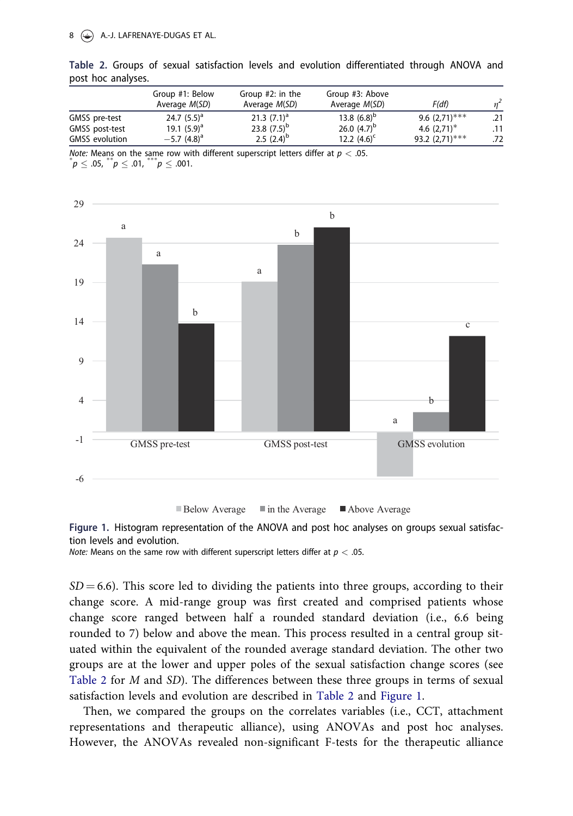#### 8 **A.-J. LAFRENAYE-DUGAS ET AL.**

|                       | Group #1: Below<br>Average <i>M(SD)</i> | Group #2: in the<br>Average <i>M(SD)</i> | Group #3: Above<br>Average <i>M(SD)</i> | F(df)             |     |
|-----------------------|-----------------------------------------|------------------------------------------|-----------------------------------------|-------------------|-----|
| GMSS pre-test         | 24.7 $(5.5)^a$                          | 21.3 $(7.1)^a$                           | 13.8 $(6.8)^{b}$                        | 9.6 $(2.71)$ ***  | .21 |
| GMSS post-test        | 19.1 $(5.9)^a$                          | 23.8 $(7.5)^{b}$                         | 26.0 $(4.7)^{b}$                        | 4.6 $(2.71)^*$    | .11 |
| <b>GMSS</b> evolution | $-5.7$ (4.8) <sup>a</sup>               | 2.5 $(2.4)^{b}$                          | 12.2 $(4.6)^c$                          | 93.2 $(2,71)$ *** | .72 |

Table 2. Groups of sexual satisfaction levels and evolution differentiated through ANOVA and post hoc analyses.

Note: Means on the same row with different superscript letters differ at  $p < .05$ .  $p \leq .05$ ,  $p \leq .01$ ,  $p \leq .001$ .



 $\blacksquare$  Below Average  $\blacksquare$  in the Average  $\blacksquare$  Above Average



*Note:* Means on the same row with different superscript letters differ at  $p < .05$ .

 $SD = 6.6$ ). This score led to dividing the patients into three groups, according to their change score. A mid-range group was first created and comprised patients whose change score ranged between half a rounded standard deviation (i.e., 6.6 being rounded to 7) below and above the mean. This process resulted in a central group situated within the equivalent of the rounded average standard deviation. The other two groups are at the lower and upper poles of the sexual satisfaction change scores (see Table 2 for M and SD). The differences between these three groups in terms of sexual satisfaction levels and evolution are described in Table 2 and Figure 1.

Then, we compared the groups on the correlates variables (i.e., CCT, attachment representations and therapeutic alliance), using ANOVAs and post hoc analyses. However, the ANOVAs revealed non-significant F-tests for the therapeutic alliance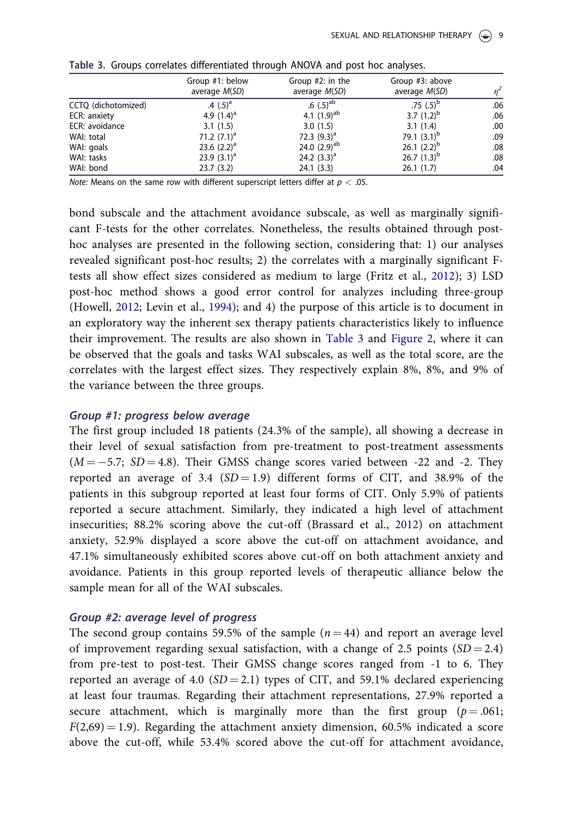|                     | Group #1: below<br>average M(SD) | Group #2: in the<br>average M(SD) | Group #3: above<br>average <i>M(SD)</i> | $n^2$ |
|---------------------|----------------------------------|-----------------------------------|-----------------------------------------|-------|
| CCTQ (dichotomized) | .4 $(.5)^{a}$                    | $(0.5)^{ab}$                      | .75 $(.5)^{b}$                          | .06   |
| ECR: anxiety        | 4.9 $(1.4)^a$                    | 4.1 $(1.9)^{ab}$                  | 3.7 $(1.2)^{b}$                         | .06   |
| ECR: avoidance      | 3.1(1.5)                         | 3.0(1.5)                          | 3.1(1.4)                                | .00   |
| WAI: total          | 71.2 $(7.1)^a$                   | 72.3 $(9.3)^a$                    | 79.1 $(3.1)^b$                          | .09   |
| WAI: goals          | 23.6 $(2.2)^a$                   | 24.0 $(2.9)^{ab}$                 | 26.1 $(2.2)^{b}$                        | .08   |
| WAI: tasks          | 23.9 $(3.1)^a$                   | 24.2 $(3.3)^a$                    | 26.7 $(1.3)^{b}$                        | .08   |
| WAI: bond           | 23.7(3.2)                        | 24.1(3.3)                         | 26.1(1.7)                               | .04   |

Table 3. Groups correlates differentiated through ANOVA and post hoc analyses.

Note: Means on the same row with different superscript letters differ at  $p < .05$ .

bond subscale and the attachment avoidance subscale, as well as marginally significant F-tests for the other correlates. Nonetheless, the results obtained through posthoc analyses are presented in the following section, considering that: 1) our analyses revealed significant post-hoc results; 2) the correlates with a marginally significant Ftests all show effect sizes considered as medium to large (Fritz et al., [2012\)](#page-17-0); 3) LSD post-hoc method shows a good error control for analyzes including three-group (Howell, [2012;](#page-17-0) Levin et al., [1994\)](#page-18-0); and 4) the purpose of this article is to document in an exploratory way the inherent sex therapy patients characteristics likely to influence their improvement. The results are also shown in Table 3 and [Figure 2,](#page-10-0) where it can be observed that the goals and tasks WAI subscales, as well as the total score, are the correlates with the largest effect sizes. They respectively explain 8%, 8%, and 9% of the variance between the three groups.

The first group included 18 patients (24.3% of the sample), all showing a decrease in their level of sexual satisfaction from pre-treatment to post-treatment assessments  $(M = -5.7; SD = 4.8)$ . Their GMSS change scores varied between -22 and -2. They reported an average of 3.4 ( $SD = 1.9$ ) different forms of CIT, and 38.9% of the patients in this subgroup reported at least four forms of CIT. Only 5.9% of patients reported a secure attachment. Similarly, they indicated a high level of attachment insecurities; 88.2% scoring above the cut-off (Brassard et al., [2012](#page-16-0)) on attachment anxiety, 52.9% displayed a score above the cut-off on attachment avoidance, and 47.1% simultaneously exhibited scores above cut-off on both attachment anxiety and avoidance. Patients in this group reported levels of therapeutic alliance below the sample mean for all of the WAI subscales.

The second group contains 59.5% of the sample ( $n = 44$ ) and report an average level of improvement regarding sexual satisfaction, with a change of 2.5 points  $(SD = 2.4)$ from pre-test to post-test. Their GMSS change scores ranged from -1 to 6. They reported an average of 4.0 ( $SD = 2.1$ ) types of CIT, and 59.1% declared experiencing at least four traumas. Regarding their attachment representations, 27.9% reported a secure attachment, which is marginally more than the first group  $(p = .061;$  $F(2,69) = 1.9$ . Regarding the attachment anxiety dimension, 60.5% indicated a score above the cut-off, while 53.4% scored above the cut-off for attachment avoidance,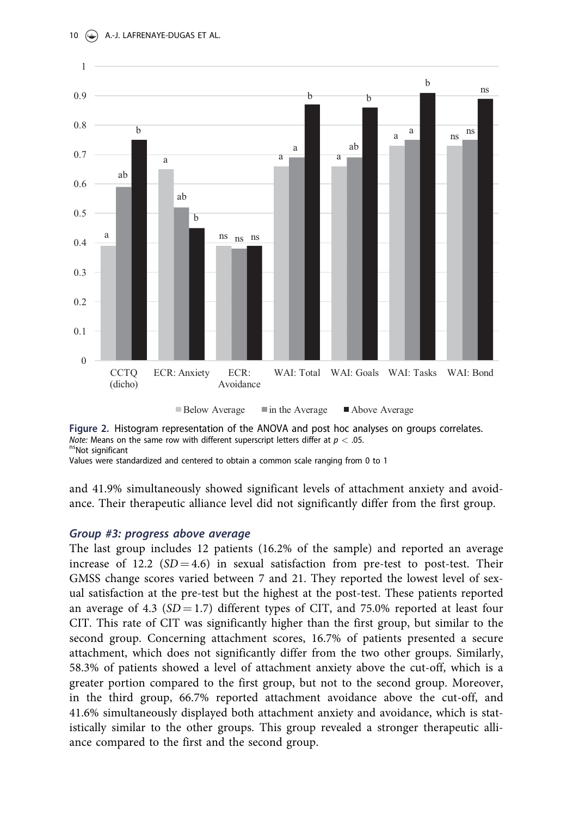<span id="page-10-0"></span>

 $\Box$  Below Average  $\Box$  in the Average  $\Box$  Above Average

Figure 2. Histogram representation of the ANOVA and post hoc analyses on groups correlates. *Note:* Means on the same row with different superscript letters differ at  $p < .05$ .<br><sup>ns</sup>Not significant

Values were standardized and centered to obtain a common scale ranging from 0 to 1

and 41.9% simultaneously showed significant levels of attachment anxiety and avoidance. Their therapeutic alliance level did not significantly differ from the first group.

The last group includes 12 patients (16.2% of the sample) and reported an average increase of 12.2 ( $SD = 4.6$ ) in sexual satisfaction from pre-test to post-test. Their GMSS change scores varied between 7 and 21. They reported the lowest level of sexual satisfaction at the pre-test but the highest at the post-test. These patients reported an average of 4.3 ( $SD = 1.7$ ) different types of CIT, and 75.0% reported at least four CIT. This rate of CIT was significantly higher than the first group, but similar to the second group. Concerning attachment scores, 16.7% of patients presented a secure attachment, which does not significantly differ from the two other groups. Similarly, 58.3% of patients showed a level of attachment anxiety above the cut-off, which is a greater portion compared to the first group, but not to the second group. Moreover, in the third group, 66.7% reported attachment avoidance above the cut-off, and 41.6% simultaneously displayed both attachment anxiety and avoidance, which is statistically similar to the other groups. This group revealed a stronger therapeutic alliance compared to the first and the second group.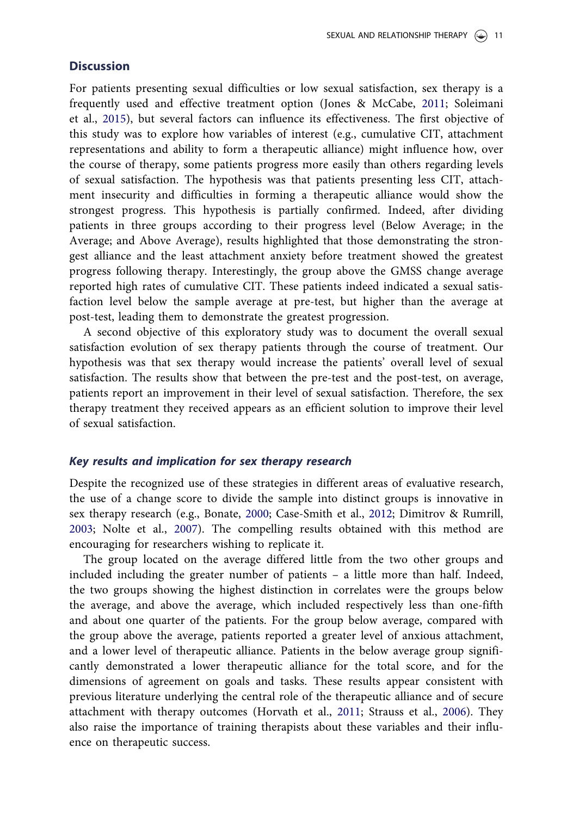#### <span id="page-11-0"></span>**Discussion**

For patients presenting sexual difficulties or low sexual satisfaction, sex therapy is a frequently used and effective treatment option (Jones & McCabe, [2011;](#page-17-0) Soleimani et al., [2015\)](#page-18-0), but several factors can influence its effectiveness. The first objective of this study was to explore how variables of interest (e.g., cumulative CIT, attachment representations and ability to form a therapeutic alliance) might influence how, over the course of therapy, some patients progress more easily than others regarding levels of sexual satisfaction. The hypothesis was that patients presenting less CIT, attachment insecurity and difficulties in forming a therapeutic alliance would show the strongest progress. This hypothesis is partially confirmed. Indeed, after dividing patients in three groups according to their progress level (Below Average; in the Average; and Above Average), results highlighted that those demonstrating the strongest alliance and the least attachment anxiety before treatment showed the greatest progress following therapy. Interestingly, the group above the GMSS change average reported high rates of cumulative CIT. These patients indeed indicated a sexual satisfaction level below the sample average at pre-test, but higher than the average at post-test, leading them to demonstrate the greatest progression.

A second objective of this exploratory study was to document the overall sexual satisfaction evolution of sex therapy patients through the course of treatment. Our hypothesis was that sex therapy would increase the patients' overall level of sexual satisfaction. The results show that between the pre-test and the post-test, on average, patients report an improvement in their level of sexual satisfaction. Therefore, the sex therapy treatment they received appears as an efficient solution to improve their level of sexual satisfaction.

#### Key results and implication for sex therapy research

Despite the recognized use of these strategies in different areas of evaluative research, the use of a change score to divide the sample into distinct groups is innovative in sex therapy research (e.g., Bonate, [2000;](#page-16-0) Case-Smith et al., [2012;](#page-16-0) Dimitrov & Rumrill, [2003;](#page-16-0) Nolte et al., [2007](#page-18-0)). The compelling results obtained with this method are encouraging for researchers wishing to replicate it.

The group located on the average differed little from the two other groups and included including the greater number of patients – a little more than half. Indeed, the two groups showing the highest distinction in correlates were the groups below the average, and above the average, which included respectively less than one-fifth and about one quarter of the patients. For the group below average, compared with the group above the average, patients reported a greater level of anxious attachment, and a lower level of therapeutic alliance. Patients in the below average group significantly demonstrated a lower therapeutic alliance for the total score, and for the dimensions of agreement on goals and tasks. These results appear consistent with previous literature underlying the central role of the therapeutic alliance and of secure attachment with therapy outcomes (Horvath et al., [2011;](#page-17-0) Strauss et al., [2006](#page-18-0)). They also raise the importance of training therapists about these variables and their influence on therapeutic success.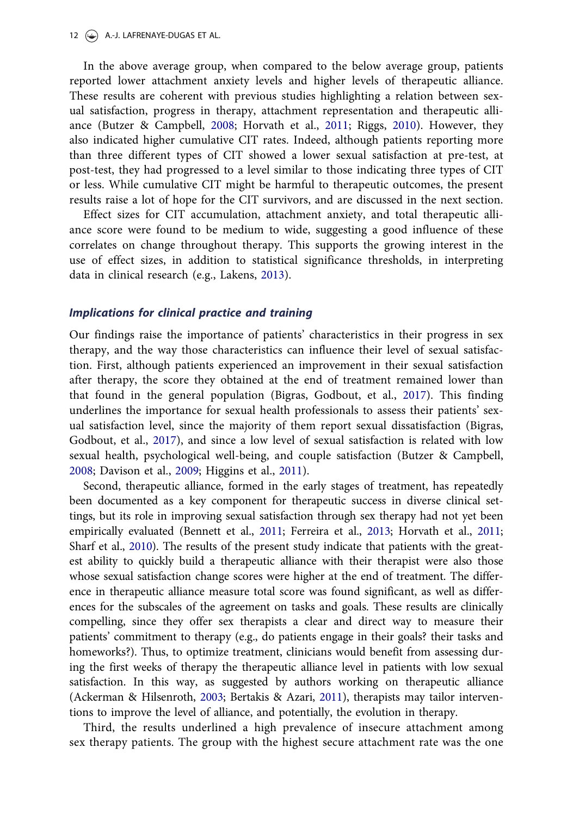<span id="page-12-0"></span>In the above average group, when compared to the below average group, patients reported lower attachment anxiety levels and higher levels of therapeutic alliance. These results are coherent with previous studies highlighting a relation between sexual satisfaction, progress in therapy, attachment representation and therapeutic alliance (Butzer & Campbell, [2008;](#page-16-0) Horvath et al., [2011](#page-17-0); Riggs, [2010](#page-18-0)). However, they also indicated higher cumulative CIT rates. Indeed, although patients reporting more than three different types of CIT showed a lower sexual satisfaction at pre-test, at post-test, they had progressed to a level similar to those indicating three types of CIT or less. While cumulative CIT might be harmful to therapeutic outcomes, the present results raise a lot of hope for the CIT survivors, and are discussed in the next section.

Effect sizes for CIT accumulation, attachment anxiety, and total therapeutic alliance score were found to be medium to wide, suggesting a good influence of these correlates on change throughout therapy. This supports the growing interest in the use of effect sizes, in addition to statistical significance thresholds, in interpreting data in clinical research (e.g., Lakens, [2013\)](#page-17-0).

#### Implications for clinical practice and training

Our findings raise the importance of patients' characteristics in their progress in sex therapy, and the way those characteristics can influence their level of sexual satisfaction. First, although patients experienced an improvement in their sexual satisfaction after therapy, the score they obtained at the end of treatment remained lower than that found in the general population (Bigras, Godbout, et al., [2017](#page-16-0)). This finding underlines the importance for sexual health professionals to assess their patients' sexual satisfaction level, since the majority of them report sexual dissatisfaction (Bigras, Godbout, et al., [2017\)](#page-16-0), and since a low level of sexual satisfaction is related with low sexual health, psychological well-being, and couple satisfaction (Butzer & Campbell, [2008;](#page-16-0) Davison et al., [2009](#page-16-0); Higgins et al., [2011\)](#page-17-0).

Second, therapeutic alliance, formed in the early stages of treatment, has repeatedly been documented as a key component for therapeutic success in diverse clinical settings, but its role in improving sexual satisfaction through sex therapy had not yet been empirically evaluated (Bennett et al., [2011](#page-15-0); Ferreira et al., [2013](#page-16-0); Horvath et al., [2011](#page-17-0); Sharf et al., [2010\)](#page-18-0). The results of the present study indicate that patients with the greatest ability to quickly build a therapeutic alliance with their therapist were also those whose sexual satisfaction change scores were higher at the end of treatment. The difference in therapeutic alliance measure total score was found significant, as well as differences for the subscales of the agreement on tasks and goals. These results are clinically compelling, since they offer sex therapists a clear and direct way to measure their patients' commitment to therapy (e.g., do patients engage in their goals? their tasks and homeworks?). Thus, to optimize treatment, clinicians would benefit from assessing during the first weeks of therapy the therapeutic alliance level in patients with low sexual satisfaction. In this way, as suggested by authors working on therapeutic alliance (Ackerman & Hilsenroth, [2003](#page-15-0); Bertakis & Azari, [2011\)](#page-15-0), therapists may tailor interventions to improve the level of alliance, and potentially, the evolution in therapy.

Third, the results underlined a high prevalence of insecure attachment among sex therapy patients. The group with the highest secure attachment rate was the one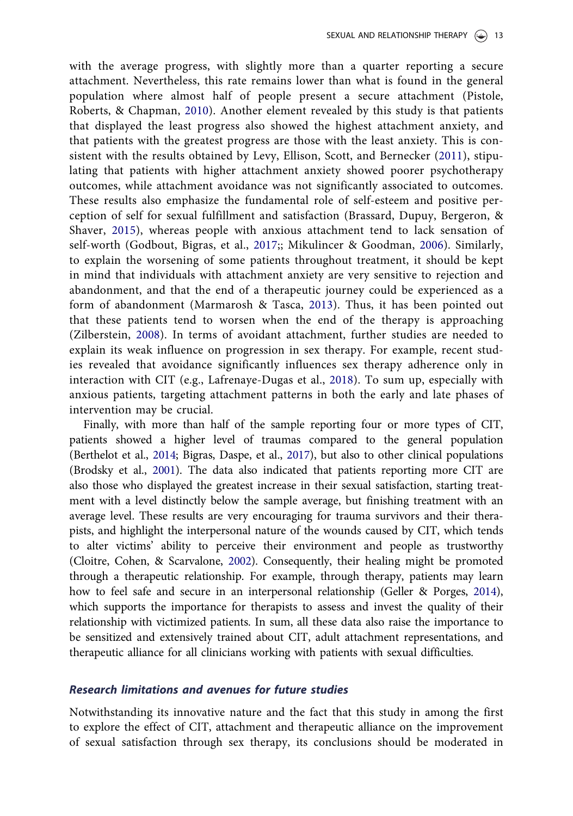<span id="page-13-0"></span>with the average progress, with slightly more than a quarter reporting a secure attachment. Nevertheless, this rate remains lower than what is found in the general population where almost half of people present a secure attachment (Pistole, Roberts, & Chapman, [2010\)](#page-18-0). Another element revealed by this study is that patients that displayed the least progress also showed the highest attachment anxiety, and that patients with the greatest progress are those with the least anxiety. This is consistent with the results obtained by Levy, Ellison, Scott, and Bernecker ([2011\)](#page-18-0), stipulating that patients with higher attachment anxiety showed poorer psychotherapy outcomes, while attachment avoidance was not significantly associated to outcomes. These results also emphasize the fundamental role of self-esteem and positive perception of self for sexual fulfillment and satisfaction (Brassard, Dupuy, Bergeron, & Shaver, [2015\)](#page-16-0), whereas people with anxious attachment tend to lack sensation of self-worth (Godbout, Bigras, et al., [2017](#page-15-0);; Mikulincer & Goodman, [2006](#page-18-0)). Similarly, to explain the worsening of some patients throughout treatment, it should be kept in mind that individuals with attachment anxiety are very sensitive to rejection and abandonment, and that the end of a therapeutic journey could be experienced as a form of abandonment (Marmarosh & Tasca, [2013\)](#page-18-0). Thus, it has been pointed out that these patients tend to worsen when the end of the therapy is approaching (Zilberstein, [2008\)](#page-18-0). In terms of avoidant attachment, further studies are needed to explain its weak influence on progression in sex therapy. For example, recent studies revealed that avoidance significantly influences sex therapy adherence only in interaction with CIT (e.g., Lafrenaye-Dugas et al., [2018](#page-17-0)). To sum up, especially with anxious patients, targeting attachment patterns in both the early and late phases of intervention may be crucial.

Finally, with more than half of the sample reporting four or more types of CIT, patients showed a higher level of traumas compared to the general population (Berthelot et al., [2014](#page-15-0); Bigras, Daspe, et al., [2017\)](#page-15-0), but also to other clinical populations (Brodsky et al., [2001](#page-16-0)). The data also indicated that patients reporting more CIT are also those who displayed the greatest increase in their sexual satisfaction, starting treatment with a level distinctly below the sample average, but finishing treatment with an average level. These results are very encouraging for trauma survivors and their therapists, and highlight the interpersonal nature of the wounds caused by CIT, which tends to alter victims' ability to perceive their environment and people as trustworthy (Cloitre, Cohen, & Scarvalone, [2002](#page-16-0)). Consequently, their healing might be promoted through a therapeutic relationship. For example, through therapy, patients may learn how to feel safe and secure in an interpersonal relationship (Geller & Porges, [2014\)](#page-17-0), which supports the importance for therapists to assess and invest the quality of their relationship with victimized patients. In sum, all these data also raise the importance to be sensitized and extensively trained about CIT, adult attachment representations, and therapeutic alliance for all clinicians working with patients with sexual difficulties.

#### Research limitations and avenues for future studies

Notwithstanding its innovative nature and the fact that this study in among the first to explore the effect of CIT, attachment and therapeutic alliance on the improvement of sexual satisfaction through sex therapy, its conclusions should be moderated in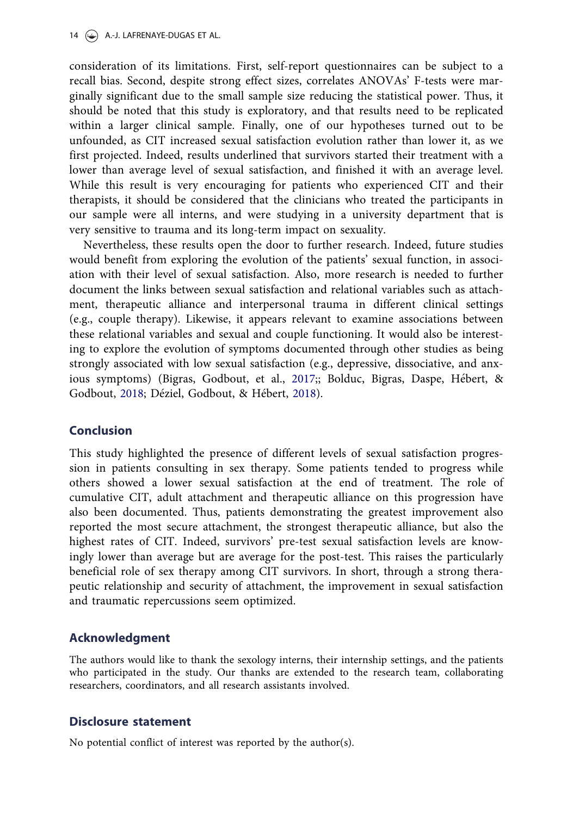<span id="page-14-0"></span>consideration of its limitations. First, self-report questionnaires can be subject to a recall bias. Second, despite strong effect sizes, correlates ANOVAs' F-tests were marginally significant due to the small sample size reducing the statistical power. Thus, it should be noted that this study is exploratory, and that results need to be replicated within a larger clinical sample. Finally, one of our hypotheses turned out to be unfounded, as CIT increased sexual satisfaction evolution rather than lower it, as we first projected. Indeed, results underlined that survivors started their treatment with a lower than average level of sexual satisfaction, and finished it with an average level. While this result is very encouraging for patients who experienced CIT and their therapists, it should be considered that the clinicians who treated the participants in our sample were all interns, and were studying in a university department that is very sensitive to trauma and its long-term impact on sexuality.

Nevertheless, these results open the door to further research. Indeed, future studies would benefit from exploring the evolution of the patients' sexual function, in association with their level of sexual satisfaction. Also, more research is needed to further document the links between sexual satisfaction and relational variables such as attachment, therapeutic alliance and interpersonal trauma in different clinical settings (e.g., couple therapy). Likewise, it appears relevant to examine associations between these relational variables and sexual and couple functioning. It would also be interesting to explore the evolution of symptoms documented through other studies as being strongly associated with low sexual satisfaction (e.g., depressive, dissociative, and anxious symptoms) (Bigras, Godbout, et al., [2017](#page-16-0);; Bolduc, Bigras, Daspe, Hebert, & Godbout, [2018;](#page-16-0) Deziel, Godbout, & Hebert, [2018](#page-16-0)).

### Conclusion

This study highlighted the presence of different levels of sexual satisfaction progression in patients consulting in sex therapy. Some patients tended to progress while others showed a lower sexual satisfaction at the end of treatment. The role of cumulative CIT, adult attachment and therapeutic alliance on this progression have also been documented. Thus, patients demonstrating the greatest improvement also reported the most secure attachment, the strongest therapeutic alliance, but also the highest rates of CIT. Indeed, survivors' pre-test sexual satisfaction levels are knowingly lower than average but are average for the post-test. This raises the particularly beneficial role of sex therapy among CIT survivors. In short, through a strong therapeutic relationship and security of attachment, the improvement in sexual satisfaction and traumatic repercussions seem optimized.

### Acknowledgment

The authors would like to thank the sexology interns, their internship settings, and the patients who participated in the study. Our thanks are extended to the research team, collaborating researchers, coordinators, and all research assistants involved.

#### Disclosure statement

No potential conflict of interest was reported by the author(s).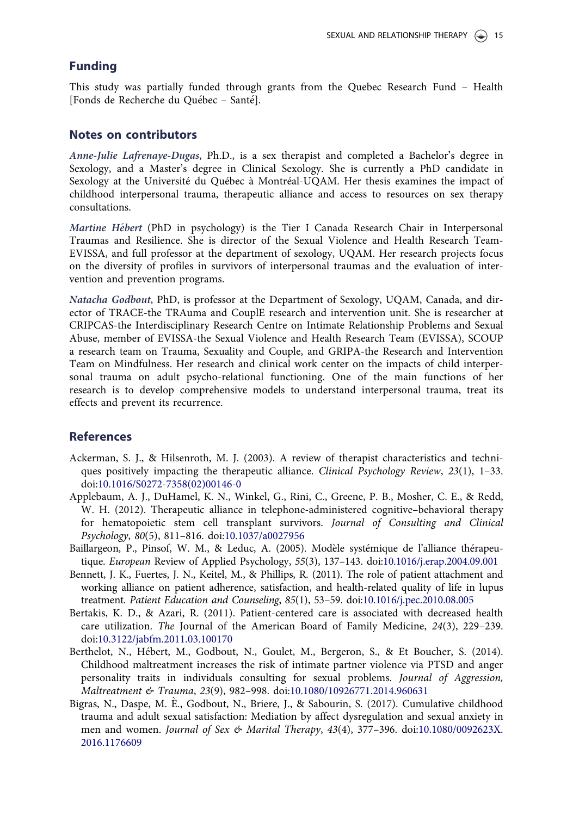### <span id="page-15-0"></span>Funding

This study was partially funded through grants from the Quebec Research Fund – Health [Fonds de Recherche du Quebec – Sante].

#### Notes on contributors

Anne-Julie Lafrenaye-Dugas, Ph.D., is a sex therapist and completed a Bachelor's degree in Sexology, and a Master's degree in Clinical Sexology. She is currently a PhD candidate in Sexology at the Université du Québec à Montréal-UQAM. Her thesis examines the impact of childhood interpersonal trauma, therapeutic alliance and access to resources on sex therapy consultations.

Martine Hebert (PhD in psychology) is the Tier I Canada Research Chair in Interpersonal Traumas and Resilience. She is director of the Sexual Violence and Health Research Team-EVISSA, and full professor at the department of sexology, UQAM. Her research projects focus on the diversity of profiles in survivors of interpersonal traumas and the evaluation of intervention and prevention programs.

Natacha Godbout, PhD, is professor at the Department of Sexology, UQAM, Canada, and director of TRACE-the TRAuma and CouplE research and intervention unit. She is researcher at CRIPCAS-the Interdisciplinary Research Centre on Intimate Relationship Problems and Sexual Abuse, member of EVISSA-the Sexual Violence and Health Research Team (EVISSA), SCOUP a research team on Trauma, Sexuality and Couple, and GRIPA-the Research and Intervention Team on Mindfulness. Her research and clinical work center on the impacts of child interpersonal trauma on adult psycho-relational functioning. One of the main functions of her research is to develop comprehensive models to understand interpersonal trauma, treat its effects and prevent its recurrence.

#### **References**

- Ackerman, S. J., & Hilsenroth, M. J. [\(2003](#page-12-0)). A review of therapist characteristics and techniques positively impacting the therapeutic alliance. Clinical Psychology Review, 23(1), 1–33. doi[:10.1016/S0272-7358\(02\)00146-0](https://doi.org/10.1016/S0272-7358(02)00146-0)
- Applebaum, A. J., DuHamel, K. N., Winkel, G., Rini, C., Greene, P. B., Mosher, C. E., & Redd, W. H. [\(2012](#page-7-0)). Therapeutic alliance in telephone-administered cognitive–behavioral therapy for hematopoietic stem cell transplant survivors. Journal of Consulting and Clinical Psychology, 80(5), 811–816. doi[:10.1037/a0027956](https://doi.org/10.1037/a0027956)
- Baillargeon, P., Pinsof, W. M., & Leduc, A. ([2005\)](#page-3-0). Modele systemique de l'alliance therapeutique. European Review of Applied Psychology, 55(3), 137–143. doi[:10.1016/j.erap.2004.09.001](https://doi.org/10.1016/j.erap.2004.09.001)
- Bennett, J. K., Fuertes, J. N., Keitel, M., & Phillips, R. [\(2011\)](#page-3-0). The role of patient attachment and working alliance on patient adherence, satisfaction, and health-related quality of life in lupus treatment. Patient Education and Counseling, 85(1), 53–59. doi:[10.1016/j.pec.2010.08.005](https://doi.org/10.1016/j.pec.2010.08.005)
- Bertakis, K. D., & Azari, R. ([2011](#page-12-0)). Patient-centered care is associated with decreased health care utilization. The Journal of the American Board of Family Medicine, 24(3), 229–239. doi[:10.3122/jabfm.2011.03.100170](https://doi.org/10.3122/jabfm.2011.03.100170)
- Berthelot, N., Hebert, M., Godbout, N., Goulet, M., Bergeron, S., & Et Boucher, S. ([2014\)](#page-2-0). Childhood maltreatment increases the risk of intimate partner violence via PTSD and anger personality traits in individuals consulting for sexual problems. Journal of Aggression, Maltreatment & Trauma, 23(9), 982–998. doi:[10.1080/10926771.2014.960631](https://doi.org/10.1080/10926771.2014.960631)
- Bigras, N., Daspe, M. E., Godbout, N., Briere, J., & Sabourin, S. [\(2017\)](#page-2-0). Cumulative childhood trauma and adult sexual satisfaction: Mediation by affect dysregulation and sexual anxiety in men and women. Journal of Sex & Marital Therapy,  $43(4)$ ,  $377-396$ . doi[:10.1080/0092623X.](https://doi.org/10.1080/0092623X.2016.1176609) [2016.1176609](https://doi.org/10.1080/0092623X.2016.1176609)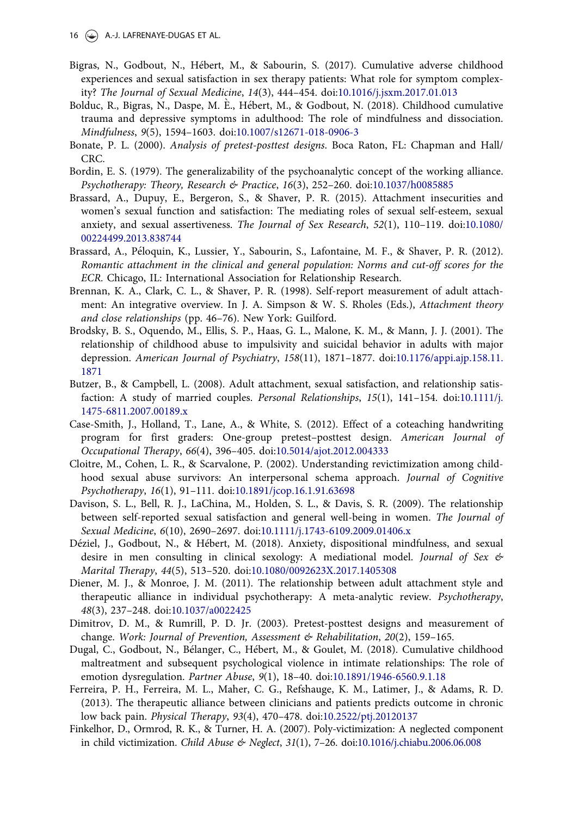- <span id="page-16-0"></span>Bigras, N., Godbout, N., Hebert, M., & Sabourin, S. [\(2017](#page-2-0)). Cumulative adverse childhood experiences and sexual satisfaction in sex therapy patients: What role for symptom complexity? The Journal of Sexual Medicine, 14(3), 444–454. doi[:10.1016/j.jsxm.2017.01.013](https://doi.org/10.1016/j.jsxm.2017.01.013)
- Bolduc, R., Bigras, N., Daspe, M. È., Hébert, M., & Godbout, N. ([2018\)](#page-14-0). Childhood cumulative trauma and depressive symptoms in adulthood: The role of mindfulness and dissociation. Mindfulness, 9(5), 1594–1603. doi[:10.1007/s12671-018-0906-3](https://doi.org/10.1007/s12671-018-0906-3)
- Bonate, P. L. ([2000](#page-6-0)). Analysis of pretest-posttest designs. Boca Raton, FL: Chapman and Hall/ CRC.
- Bordin, E. S. ([1979](#page-3-0)). The generalizability of the psychoanalytic concept of the working alliance. Psychotherapy: Theory, Research & Practice, 16(3), 252–260. doi:[10.1037/h0085885](https://doi.org/10.1037/h0085885)
- Brassard, A., Dupuy, E., Bergeron, S., & Shaver, P. R. [\(2015](#page-13-0)). Attachment insecurities and women's sexual function and satisfaction: The mediating roles of sexual self-esteem, sexual anxiety, and sexual assertiveness. The Journal of Sex Research, 52(1), 110–119. doi:[10.1080/](https://doi.org/10.1080/00224499.2013.838744) [00224499.2013.838744](https://doi.org/10.1080/00224499.2013.838744)
- Brassard, A., Peloquin, K., Lussier, Y., Sabourin, S., Lafontaine, M. F., & Shaver, P. R. ([2012\)](#page-5-0). Romantic attachment in the clinical and general population: Norms and cut-off scores for the ECR. Chicago, IL: International Association for Relationship Research.
- Brennan, K. A., Clark, C. L., & Shaver, P. R. [\(1998](#page-5-0)). Self-report measurement of adult attachment: An integrative overview. In J. A. Simpson & W. S. Rholes (Eds.), Attachment theory and close relationships (pp. 46–76). New York: Guilford.
- Brodsky, B. S., Oquendo, M., Ellis, S. P., Haas, G. L., Malone, K. M., & Mann, J. J. ([2001\)](#page-13-0). The relationship of childhood abuse to impulsivity and suicidal behavior in adults with major depression. American Journal of Psychiatry, 158(11), 1871-1877. doi[:10.1176/appi.ajp.158.11.](https://doi.org/10.1176/appi.ajp.158.11.1871) [1871](https://doi.org/10.1176/appi.ajp.158.11.1871)
- Butzer, B., & Campbell, L. [\(2008](#page-2-0)). Adult attachment, sexual satisfaction, and relationship satis-faction: A study of married couples. Personal Relationships, 15(1), 141-154. doi[:10.1111/j.](https://doi.org/10.1111/j.1475-6811.2007.00189.x) [1475-6811.2007.00189.x](https://doi.org/10.1111/j.1475-6811.2007.00189.x)
- Case-Smith, J., Holland, T., Lane, A., & White, S. ([2012\)](#page-6-0). Effect of a coteaching handwriting program for first graders: One-group pretest–posttest design. American Journal of Occupational Therapy, 66(4), 396–405. doi:[10.5014/ajot.2012.004333](https://doi.org/10.5014/ajot.2012.004333)
- Cloitre, M., Cohen, L. R., & Scarvalone, P. ([2002\)](#page-13-0). Understanding revictimization among childhood sexual abuse survivors: An interpersonal schema approach. Journal of Cognitive Psychotherapy, 16(1), 91–111. doi[:10.1891/jcop.16.1.91.63698](https://doi.org/10.1891/jcop.16.1.91.63698)
- Davison, S. L., Bell, R. J., LaChina, M., Holden, S. L., & Davis, S. R. ([2009\)](#page-2-0). The relationship between self-reported sexual satisfaction and general well-being in women. The Journal of Sexual Medicine, 6(10), 2690–2697. doi:[10.1111/j.1743-6109.2009.01406.x](https://doi.org/10.1111/j.1743-6109.2009.01406.x)
- Déziel, J., Godbout, N., & Hébert, M. [\(2018](#page-14-0)). Anxiety, dispositional mindfulness, and sexual desire in men consulting in clinical sexology: A mediational model. Journal of Sex & Marital Therapy, 44(5), 513–520. doi[:10.1080/0092623X.2017.1405308](https://doi.org/10.1080/0092623X.2017.1405308)
- Diener, M. J., & Monroe, J. M. [\(2011\)](#page-3-0). The relationship between adult attachment style and therapeutic alliance in individual psychotherapy: A meta-analytic review. Psychotherapy, 48(3), 237–248. doi:[10.1037/a0022425](https://doi.org/10.1037/a0022425)
- Dimitrov, D. M., & Rumrill, P. D. Jr. ([2003\)](#page-6-0). Pretest-posttest designs and measurement of change. Work: Journal of Prevention, Assessment & Rehabilitation,  $20(2)$ , 159-165.
- Dugal, C., Godbout, N., Belanger, C., Hebert, M., & Goulet, M. [\(2018](#page-5-0)). Cumulative childhood maltreatment and subsequent psychological violence in intimate relationships: The role of emotion dysregulation. Partner Abuse, 9(1), 18–40. doi:[10.1891/1946-6560.9.1.18](https://doi.org/10.1891/1946-6560.9.1.18)
- Ferreira, P. H., Ferreira, M. L., Maher, C. G., Refshauge, K. M., Latimer, J., & Adams, R. D. [\(2013](#page-3-0)). The therapeutic alliance between clinicians and patients predicts outcome in chronic low back pain. Physical Therapy, 93(4), 470–478. doi[:10.2522/ptj.20120137](https://doi.org/10.2522/ptj.20120137)
- Finkelhor, D., Ormrod, R. K., & Turner, H. A. [\(2007\)](#page-5-0). Poly-victimization: A neglected component in child victimization. Child Abuse & Neglect, 31(1), 7-26. doi[:10.1016/j.chiabu.2006.06.008](https://doi.org/10.1016/j.chiabu.2006.06.008)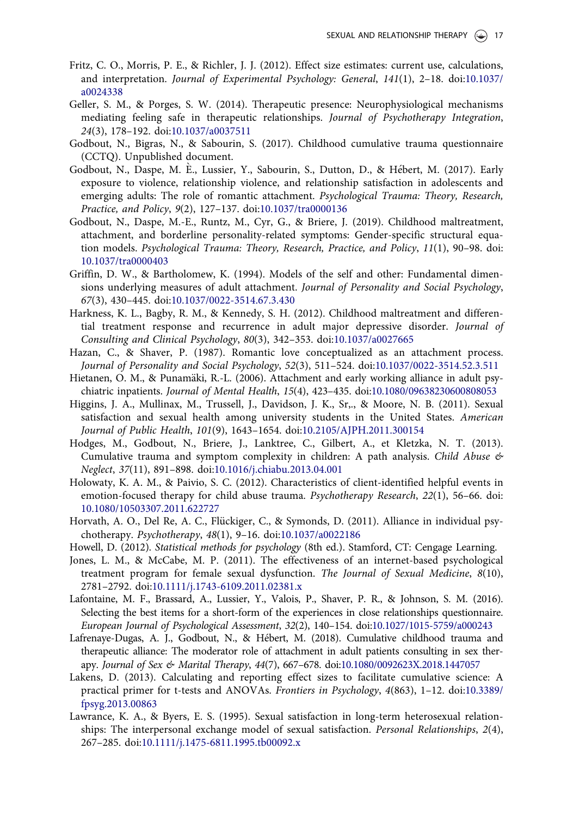- <span id="page-17-0"></span>Fritz, C. O., Morris, P. E., & Richler, J. J. [\(2012](#page-6-0)). Effect size estimates: current use, calculations, and interpretation. Journal of Experimental Psychology: General, 141(1), 2–18. doi:[10.1037/](https://doi.org/10.1037/a0024338) [a0024338](https://doi.org/10.1037/a0024338)
- Geller, S. M., & Porges, S. W. [\(2014\)](#page-13-0). Therapeutic presence: Neurophysiological mechanisms mediating feeling safe in therapeutic relationships. Journal of Psychotherapy Integration, 24(3), 178–192. doi:[10.1037/a0037511](https://doi.org/10.1037/a0037511)
- Godbout, N., Bigras, N., & Sabourin, S. ([2017](#page-2-0)). Childhood cumulative trauma questionnaire (CCTQ). Unpublished document.
- Godbout, N., Daspe, M. E., Lussier, Y., Sabourin, S., Dutton, D., & Hébert, M. (2017). Early exposure to violence, relationship violence, and relationship satisfaction in adolescents and emerging adults: The role of romantic attachment. Psychological Trauma: Theory, Research, Practice, and Policy, 9(2), 127–137. doi:[10.1037/tra0000136](https://doi.org/10.1037/tra0000136)
- Godbout, N., Daspe, M.-E., Runtz, M., Cyr, G., & Briere, J. ([2019\)](#page-2-0). Childhood maltreatment, attachment, and borderline personality-related symptoms: Gender-specific structural equation models. Psychological Trauma: Theory, Research, Practice, and Policy, 11(1), 90–98. doi: [10.1037/tra0000403](https://doi.org/10.1037/tra0000403)
- Griffin, D. W., & Bartholomew, K. ([1994\)](#page-3-0). Models of the self and other: Fundamental dimensions underlying measures of adult attachment. Journal of Personality and Social Psychology, 67(3), 430–445. doi:[10.1037/0022-3514.67.3.430](https://doi.org/10.1037/0022-3514.67.3.430)
- Harkness, K. L., Bagby, R. M., & Kennedy, S. H. [\(2012\)](#page-2-0). Childhood maltreatment and differential treatment response and recurrence in adult major depressive disorder. Journal of Consulting and Clinical Psychology, 80(3), 342–353. doi:[10.1037/a0027665](https://doi.org/10.1037/a0027665)
- Hazan, C., & Shaver, P. [\(1987\)](#page-5-0). Romantic love conceptualized as an attachment process. Journal of Personality and Social Psychology, 52(3), 511–524. doi[:10.1037/0022-3514.52.3.511](https://doi.org/10.1037/0022-3514.52.3.511)
- Hietanen, O. M., & Punamäki, R.-L. [\(2006\)](#page-3-0). Attachment and early working alliance in adult psychiatric inpatients. Journal of Mental Health, 15(4), 423–435. doi[:10.1080/09638230600808053](https://doi.org/10.1080/09638230600808053)
- Higgins, J. A., Mullinax, M., Trussell, J., Davidson, J. K., Sr,., & Moore, N. B. [\(2011](#page-2-0)). Sexual satisfaction and sexual health among university students in the United States. American Journal of Public Health, 101(9), 1643–1654. doi[:10.2105/AJPH.2011.300154](https://doi.org/10.2105/AJPH.2011.300154)
- Hodges, M., Godbout, N., Briere, J., Lanktree, C., Gilbert, A., et Kletzka, N. T. ([2013\)](#page-2-0). Cumulative trauma and symptom complexity in children: A path analysis. Child Abuse & Neglect, 37(11), 891–898. doi:[10.1016/j.chiabu.2013.04.001](https://doi.org/10.1016/j.chiabu.2013.04.001)
- Holowaty, K. A. M., & Paivio, S. C. [\(2012\)](#page-3-0). Characteristics of client-identified helpful events in emotion-focused therapy for child abuse trauma. Psychotherapy Research, 22(1), 56–66. doi: [10.1080/10503307.2011.622727](https://doi.org/10.1080/10503307.2011.622727)
- Horvath, A. O., Del Re, A. C., Flückiger, C., & Symonds, D. ([2011\)](#page-3-0). Alliance in individual psychotherapy. Psychotherapy, 48(1), 9–16. doi:[10.1037/a0022186](https://doi.org/10.1037/a0022186)
- Howell, D. [\(2012](#page-6-0)). Statistical methods for psychology (8th ed.). Stamford, CT: Cengage Learning.
- Jones, L. M., & McCabe, M. P. [\(2011](#page-2-0)). The effectiveness of an internet-based psychological treatment program for female sexual dysfunction. The Journal of Sexual Medicine, 8(10), 2781–2792. doi[:10.1111/j.1743-6109.2011.02381.x](https://doi.org/10.1111/j.1743-6109.2011.02381.x)
- Lafontaine, M. F., Brassard, A., Lussier, Y., Valois, P., Shaver, P. R., & Johnson, S. M. [\(2016](#page-5-0)). Selecting the best items for a short-form of the experiences in close relationships questionnaire. European Journal of Psychological Assessment, 32(2), 140–154. doi:[10.1027/1015-5759/a000243](https://doi.org/10.1027/1015-5759/a000243)
- Lafrenaye-Dugas, A. J., Godbout, N., & Hebert, M. [\(2018\)](#page-2-0). Cumulative childhood trauma and therapeutic alliance: The moderator role of attachment in adult patients consulting in sex therapy. Journal of Sex & Marital Therapy, 44(7), 667–678. doi:[10.1080/0092623X.2018.1447057](https://doi.org/10.1080/0092623X.2018.1447057)
- Lakens, D. ([2013\)](#page-6-0). Calculating and reporting effect sizes to facilitate cumulative science: A practical primer for t-tests and ANOVAs. Frontiers in Psychology, 4(863), 1–12. doi:[10.3389/](https://doi.org/10.3389/fpsyg.2013.00863) [fpsyg.2013.00863](https://doi.org/10.3389/fpsyg.2013.00863)
- Lawrance, K. A., & Byers, E. S. [\(1995](#page-2-0)). Sexual satisfaction in long-term heterosexual relationships: The interpersonal exchange model of sexual satisfaction. Personal Relationships, 2(4), 267–285. doi[:10.1111/j.1475-6811.1995.tb00092.x](https://doi.org/10.1111/j.1475-6811.1995.tb00092.x)